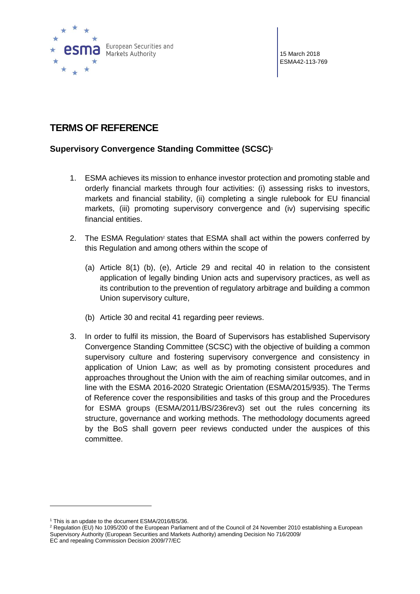

15 March 2018 ESMA42-113-769

# **TERMS OF REFERENCE**

## **Supervisory Convergence Standing Committee (SCSC)<sup>1</sup>**

- 1. ESMA achieves its mission to enhance investor protection and promoting stable and orderly financial markets through four activities: (i) assessing risks to investors, markets and financial stability, (ii) completing a single rulebook for EU financial markets, (iii) promoting supervisory convergence and (iv) supervising specific financial entities.
- 2. The ESMA Regulation<sup>2</sup> states that ESMA shall act within the powers conferred by this Regulation and among others within the scope of
	- (a) Article 8(1) (b), (e), Article 29 and recital 40 in relation to the consistent application of legally binding Union acts and supervisory practices, as well as its contribution to the prevention of regulatory arbitrage and building a common Union supervisory culture,
	- (b) Article 30 and recital 41 regarding peer reviews.
- 3. In order to fulfil its mission, the Board of Supervisors has established Supervisory Convergence Standing Committee (SCSC) with the objective of building a common supervisory culture and fostering supervisory convergence and consistency in application of Union Law; as well as by promoting consistent procedures and approaches throughout the Union with the aim of reaching similar outcomes, and in line with the ESMA 2016-2020 Strategic Orientation (ESMA/2015/935). The Terms of Reference cover the responsibilities and tasks of this group and the Procedures for ESMA groups (ESMA/2011/BS/236rev3) set out the rules concerning its structure, governance and working methods. The methodology documents agreed by the BoS shall govern peer reviews conducted under the auspices of this committee.

 $\overline{a}$ 

<sup>&</sup>lt;sup>1</sup> This is an update to the document ESMA/2016/BS/36.

<sup>&</sup>lt;sup>2</sup> Regulation (EU) No 1095/200 of the European Parliament and of the Council of 24 November 2010 establishing a European Supervisory Authority (European Securities and Markets Authority) amending Decision No 716/2009/ EC and repealing Commission Decision 2009/77/EC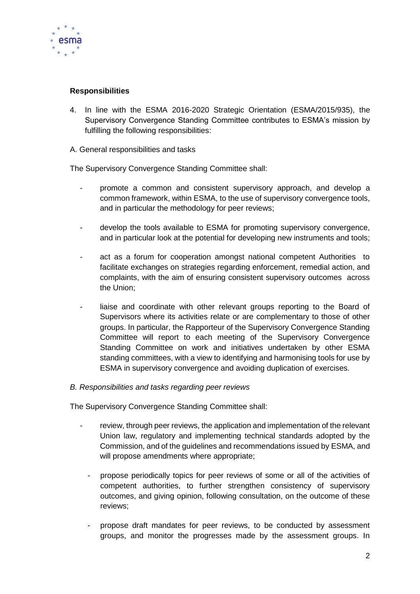

### **Responsibilities**

4. In line with the ESMA 2016-2020 Strategic Orientation (ESMA/2015/935), the Supervisory Convergence Standing Committee contributes to ESMA's mission by fulfilling the following responsibilities:

#### A. General responsibilities and tasks

The Supervisory Convergence Standing Committee shall:

- promote a common and consistent supervisory approach, and develop a common framework, within ESMA, to the use of supervisory convergence tools, and in particular the methodology for peer reviews;
- develop the tools available to ESMA for promoting supervisory convergence, and in particular look at the potential for developing new instruments and tools;
- act as a forum for cooperation amongst national competent Authorities to facilitate exchanges on strategies regarding enforcement, remedial action, and complaints, with the aim of ensuring consistent supervisory outcomes across the Union;
- liaise and coordinate with other relevant groups reporting to the Board of Supervisors where its activities relate or are complementary to those of other groups. In particular, the Rapporteur of the Supervisory Convergence Standing Committee will report to each meeting of the Supervisory Convergence Standing Committee on work and initiatives undertaken by other ESMA standing committees, with a view to identifying and harmonising tools for use by ESMA in supervisory convergence and avoiding duplication of exercises.

#### *B. Responsibilities and tasks regarding peer reviews*

The Supervisory Convergence Standing Committee shall:

- review, through peer reviews, the application and implementation of the relevant Union law, regulatory and implementing technical standards adopted by the Commission, and of the guidelines and recommendations issued by ESMA, and will propose amendments where appropriate;
	- propose periodically topics for peer reviews of some or all of the activities of competent authorities, to further strengthen consistency of supervisory outcomes, and giving opinion, following consultation, on the outcome of these reviews;
	- propose draft mandates for peer reviews, to be conducted by assessment groups, and monitor the progresses made by the assessment groups. In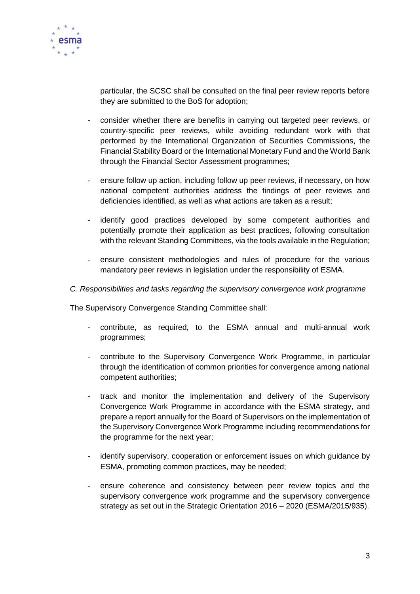

particular, the SCSC shall be consulted on the final peer review reports before they are submitted to the BoS for adoption;

- consider whether there are benefits in carrying out targeted peer reviews, or country-specific peer reviews, while avoiding redundant work with that performed by the International Organization of Securities Commissions, the Financial Stability Board or the International Monetary Fund and the World Bank through the Financial Sector Assessment programmes;
- ensure follow up action, including follow up peer reviews, if necessary, on how national competent authorities address the findings of peer reviews and deficiencies identified, as well as what actions are taken as a result;
- identify good practices developed by some competent authorities and potentially promote their application as best practices, following consultation with the relevant Standing Committees, via the tools available in the Regulation;
- ensure consistent methodologies and rules of procedure for the various mandatory peer reviews in legislation under the responsibility of ESMA.

### *C. Responsibilities and tasks regarding the supervisory convergence work programme*

The Supervisory Convergence Standing Committee shall:

- contribute, as required, to the ESMA annual and multi-annual work programmes;
- contribute to the Supervisory Convergence Work Programme, in particular through the identification of common priorities for convergence among national competent authorities;
- track and monitor the implementation and delivery of the Supervisory Convergence Work Programme in accordance with the ESMA strategy, and prepare a report annually for the Board of Supervisors on the implementation of the Supervisory Convergence Work Programme including recommendations for the programme for the next year;
- identify supervisory, cooperation or enforcement issues on which guidance by ESMA, promoting common practices, may be needed;
- ensure coherence and consistency between peer review topics and the supervisory convergence work programme and the supervisory convergence strategy as set out in the Strategic Orientation 2016 – 2020 (ESMA/2015/935).